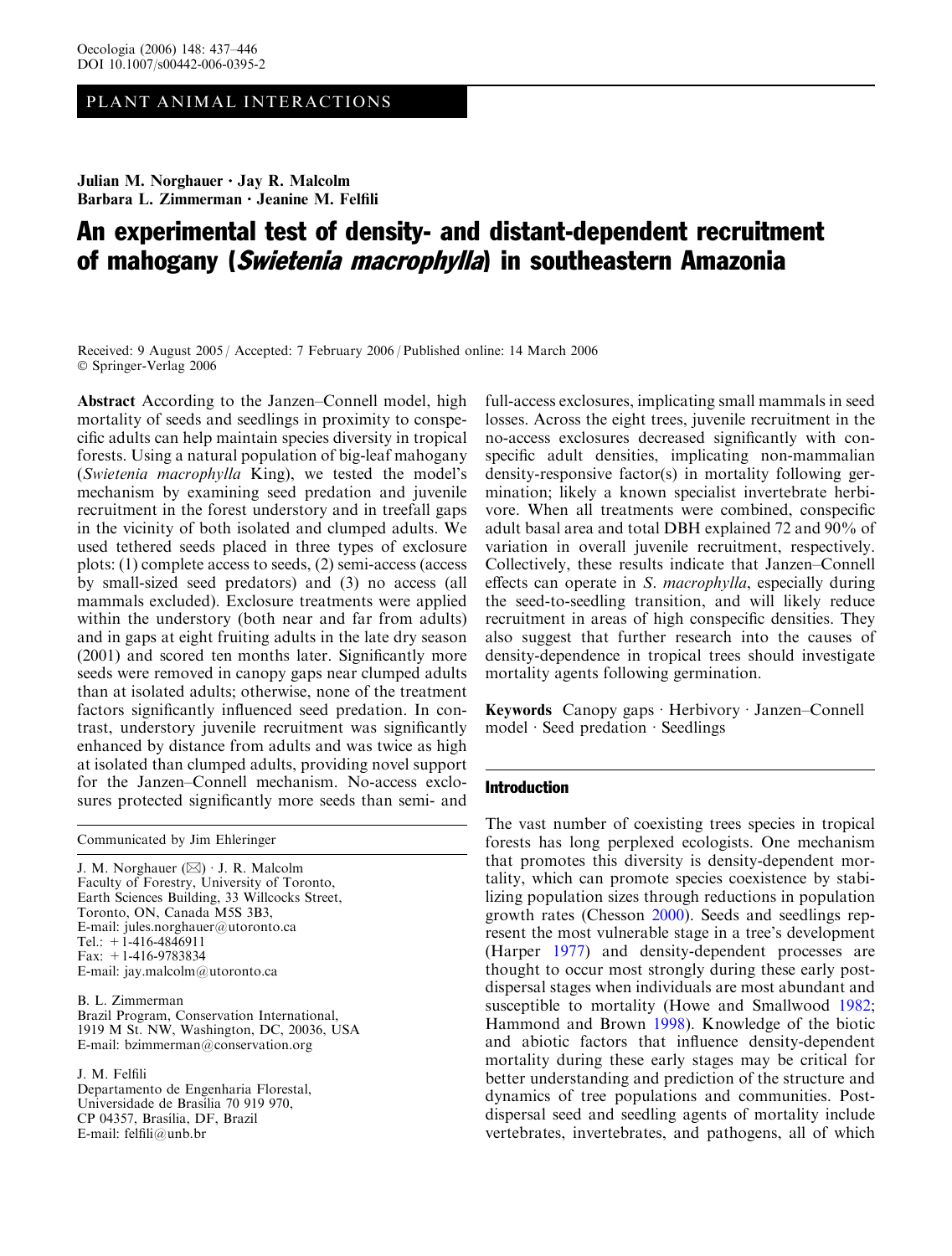PLANT ANIMAL INTERACTIONS

Julian M. Norghauer  $\cdot$  Jay R. Malcolm Barbara L. Zimmerman · Jeanine M. Felfili

# An experimental test of density- and distant-dependent recruitment of mahogany (Swietenia macrophylla) in southeastern Amazonia

Received: 9 August 2005 / Accepted: 7 February 2006 / Published online: 14 March 2006 Springer-Verlag 2006

Abstract According to the Janzen–Connell model, high mortality of seeds and seedlings in proximity to conspecific adults can help maintain species diversity in tropical forests. Using a natural population of big-leaf mahogany (Swietenia macrophylla King), we tested the model's mechanism by examining seed predation and juvenile recruitment in the forest understory and in treefall gaps in the vicinity of both isolated and clumped adults. We used tethered seeds placed in three types of exclosure plots: (1) complete access to seeds, (2) semi-access (access by small-sized seed predators) and (3) no access (all mammals excluded). Exclosure treatments were applied within the understory (both near and far from adults) and in gaps at eight fruiting adults in the late dry season (2001) and scored ten months later. Significantly more seeds were removed in canopy gaps near clumped adults than at isolated adults; otherwise, none of the treatment factors significantly influenced seed predation. In contrast, understory juvenile recruitment was significantly enhanced by distance from adults and was twice as high at isolated than clumped adults, providing novel support for the Janzen–Connell mechanism. No-access exclosures protected significantly more seeds than semi- and

Communicated by Jim Ehleringer

J. M. Norghauer  $(\boxtimes) \cdot$  J. R. Malcolm Faculty of Forestry, University of Toronto, Earth Sciences Building, 33 Willcocks Street, Toronto, ON, Canada M5S 3B3, E-mail: jules.norghauer@utoronto.ca Tel.: +1-416-4846911 Fax: +1-416-9783834 E-mail: jay.malcolm@utoronto.ca

B. L. Zimmerman Brazil Program, Conservation International, 1919 M St. NW, Washington, DC, 20036, USA E-mail: bzimmerman@conservation.org

J. M. Felfili Departamento de Engenharia Florestal, Universidade de Brasília 70 919 970, CP 04357, Brasília, DF, Brazil E-mail: felfili@unb.br

full-access exclosures, implicating small mammals in seed losses. Across the eight trees, juvenile recruitment in the no-access exclosures decreased significantly with conspecific adult densities, implicating non-mammalian density-responsive factor(s) in mortality following germination; likely a known specialist invertebrate herbivore. When all treatments were combined, conspecific adult basal area and total DBH explained 72 and 90% of variation in overall juvenile recruitment, respectively. Collectively, these results indicate that Janzen–Connell effects can operate in S. macrophylla, especially during the seed-to-seedling transition, and will likely reduce recruitment in areas of high conspecific densities. They also suggest that further research into the causes of density-dependence in tropical trees should investigate mortality agents following germination.

Keywords Canopy gaps  $\cdot$  Herbivory  $\cdot$  Janzen–Connell  $model \cdot$  Seed predation  $\cdot$  Seedlings

# Introduction

The vast number of coexisting trees species in tropical forests has long perplexed ecologists. One mechanism that promotes this diversity is density-dependent mortality, which can promote species coexistence by stabilizing population sizes through reductions in population growth rates (Chesson [2000\)](#page-8-0). Seeds and seedlings represent the most vulnerable stage in a tree's development (Harper [1977\)](#page-8-0) and density-dependent processes are thought to occur most strongly during these early postdispersal stages when individuals are most abundant and susceptible to mortality (Howe and Smallwood [1982](#page-8-0); Hammond and Brown [1998](#page-8-0)). Knowledge of the biotic and abiotic factors that influence density-dependent mortality during these early stages may be critical for better understanding and prediction of the structure and dynamics of tree populations and communities. Postdispersal seed and seedling agents of mortality include vertebrates, invertebrates, and pathogens, all of which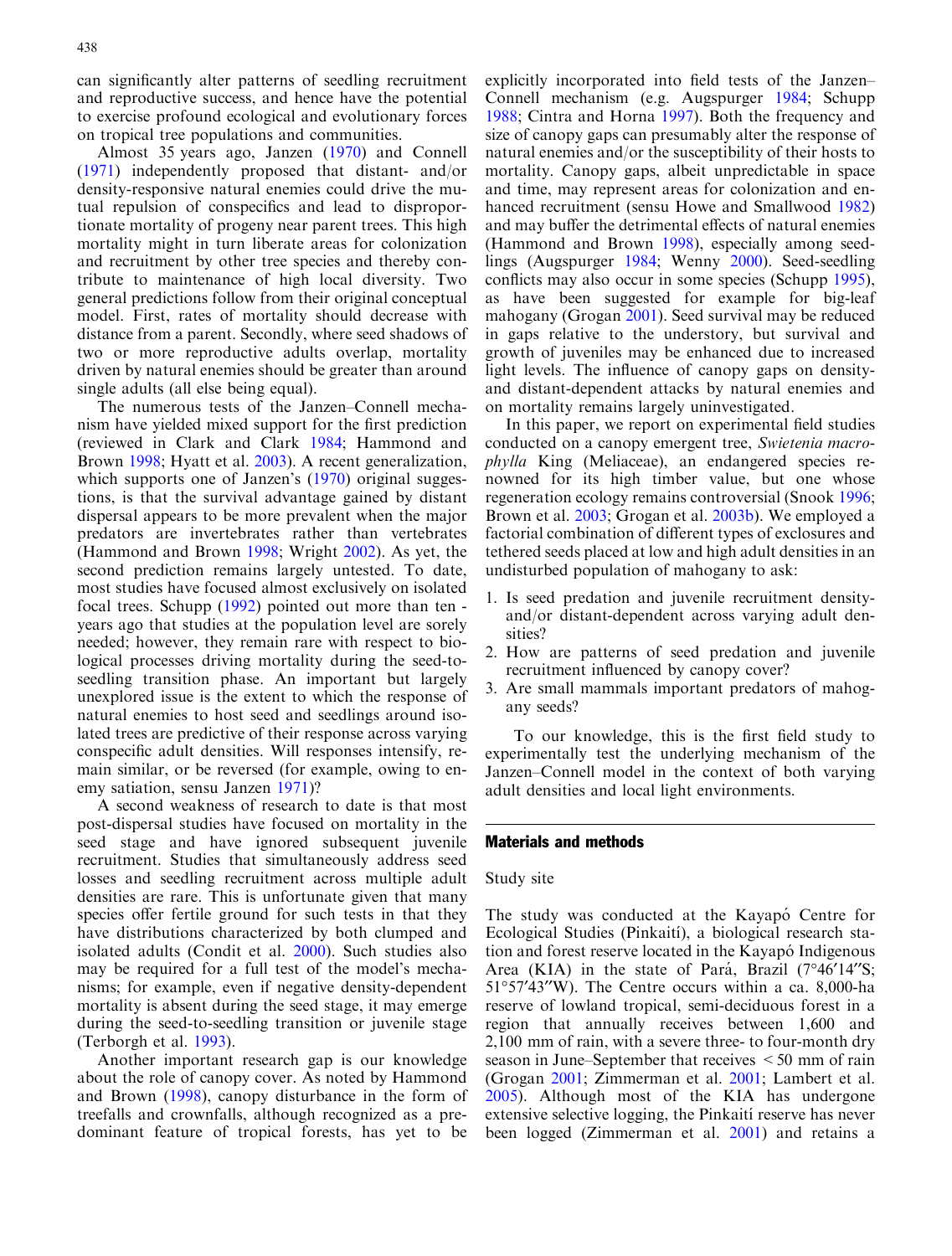can significantly alter patterns of seedling recruitment and reproductive success, and hence have the potential to exercise profound ecological and evolutionary forces on tropical tree populations and communities.

Almost 35 years ago, Janzen [\(1970\)](#page-8-0) and Connell ([1971\)](#page-8-0) independently proposed that distant- and/or density-responsive natural enemies could drive the mutual repulsion of conspecifics and lead to disproportionate mortality of progeny near parent trees. This high mortality might in turn liberate areas for colonization and recruitment by other tree species and thereby contribute to maintenance of high local diversity. Two general predictions follow from their original conceptual model. First, rates of mortality should decrease with distance from a parent. Secondly, where seed shadows of two or more reproductive adults overlap, mortality driven by natural enemies should be greater than around single adults (all else being equal).

The numerous tests of the Janzen–Connell mechanism have yielded mixed support for the first prediction (reviewed in Clark and Clark [1984;](#page-8-0) Hammond and Brown [1998;](#page-8-0) Hyatt et al. [2003](#page-8-0)). A recent generalization, which supports one of Janzen's [\(1970\)](#page-8-0) original suggestions, is that the survival advantage gained by distant dispersal appears to be more prevalent when the major predators are invertebrates rather than vertebrates (Hammond and Brown [1998](#page-8-0); Wright [2002\)](#page-9-0). As yet, the second prediction remains largely untested. To date, most studies have focused almost exclusively on isolated focal trees. Schupp ([1992\)](#page-8-0) pointed out more than ten years ago that studies at the population level are sorely needed; however, they remain rare with respect to biological processes driving mortality during the seed-toseedling transition phase. An important but largely unexplored issue is the extent to which the response of natural enemies to host seed and seedlings around isolated trees are predictive of their response across varying conspecific adult densities. Will responses intensify, remain similar, or be reversed (for example, owing to enemy satiation, sensu Janzen [1971](#page-8-0))?

A second weakness of research to date is that most post-dispersal studies have focused on mortality in the seed stage and have ignored subsequent juvenile recruitment. Studies that simultaneously address seed losses and seedling recruitment across multiple adult densities are rare. This is unfortunate given that many species offer fertile ground for such tests in that they have distributions characterized by both clumped and isolated adults (Condit et al. [2000\)](#page-8-0). Such studies also may be required for a full test of the model's mechanisms; for example, even if negative density-dependent mortality is absent during the seed stage, it may emerge during the seed-to-seedling transition or juvenile stage (Terborgh et al. [1993](#page-8-0)).

Another important research gap is our knowledge about the role of canopy cover. As noted by Hammond and Brown ([1998](#page-8-0)), canopy disturbance in the form of treefalls and crownfalls, although recognized as a predominant feature of tropical forests, has yet to be explicitly incorporated into field tests of the Janzen– Connell mechanism (e.g. Augspurger [1984;](#page-7-0) Schupp [1988;](#page-8-0) Cintra and Horna [1997](#page-8-0)). Both the frequency and size of canopy gaps can presumably alter the response of natural enemies and/or the susceptibility of their hosts to mortality. Canopy gaps, albeit unpredictable in space and time, may represent areas for colonization and enhanced recruitment (sensu Howe and Smallwood [1982\)](#page-8-0) and may buffer the detrimental effects of natural enemies (Hammond and Brown [1998\)](#page-8-0), especially among seedlings (Augspurger [1984](#page-7-0); Wenny [2000\)](#page-9-0). Seed-seedling conflicts may also occur in some species (Schupp [1995\)](#page-8-0), as have been suggested for example for big-leaf mahogany (Grogan [2001](#page-8-0)). Seed survival may be reduced in gaps relative to the understory, but survival and growth of juveniles may be enhanced due to increased light levels. The influence of canopy gaps on densityand distant-dependent attacks by natural enemies and on mortality remains largely uninvestigated.

In this paper, we report on experimental field studies conducted on a canopy emergent tree, Swietenia macrophylla King (Meliaceae), an endangered species renowned for its high timber value, but one whose regeneration ecology remains controversial (Snook [1996](#page-8-0); Brown et al. [2003;](#page-8-0) Grogan et al. [2003b](#page-8-0)). We employed a factorial combination of different types of exclosures and tethered seeds placed at low and high adult densities in an undisturbed population of mahogany to ask:

- 1. Is seed predation and juvenile recruitment densityand/or distant-dependent across varying adult densities?
- 2. How are patterns of seed predation and juvenile recruitment influenced by canopy cover?
- 3. Are small mammals important predators of mahogany seeds?

To our knowledge, this is the first field study to experimentally test the underlying mechanism of the Janzen–Connell model in the context of both varying adult densities and local light environments.

#### Materials and methods

#### Study site

The study was conducted at the Kayapó Centre for Ecological Studies (Pinkaití), a biological research station and forest reserve located in the Kayapó Indigenous Area (KIA) in the state of Pará, Brazil  $(7°46'14''S;$  $51^{\circ}57'43''W$ ). The Centre occurs within a ca. 8,000-ha reserve of lowland tropical, semi-deciduous forest in a region that annually receives between 1,600 and 2,100 mm of rain, with a severe three- to four-month dry season in June–September that receives  $\leq 50$  mm of rain (Grogan [2001;](#page-8-0) Zimmerman et al. [2001](#page-9-0); Lambert et al. [2005\)](#page-8-0). Although most of the KIA has undergone extensive selective logging, the Pinkaití reserve has never been logged (Zimmerman et al. [2001](#page-9-0)) and retains a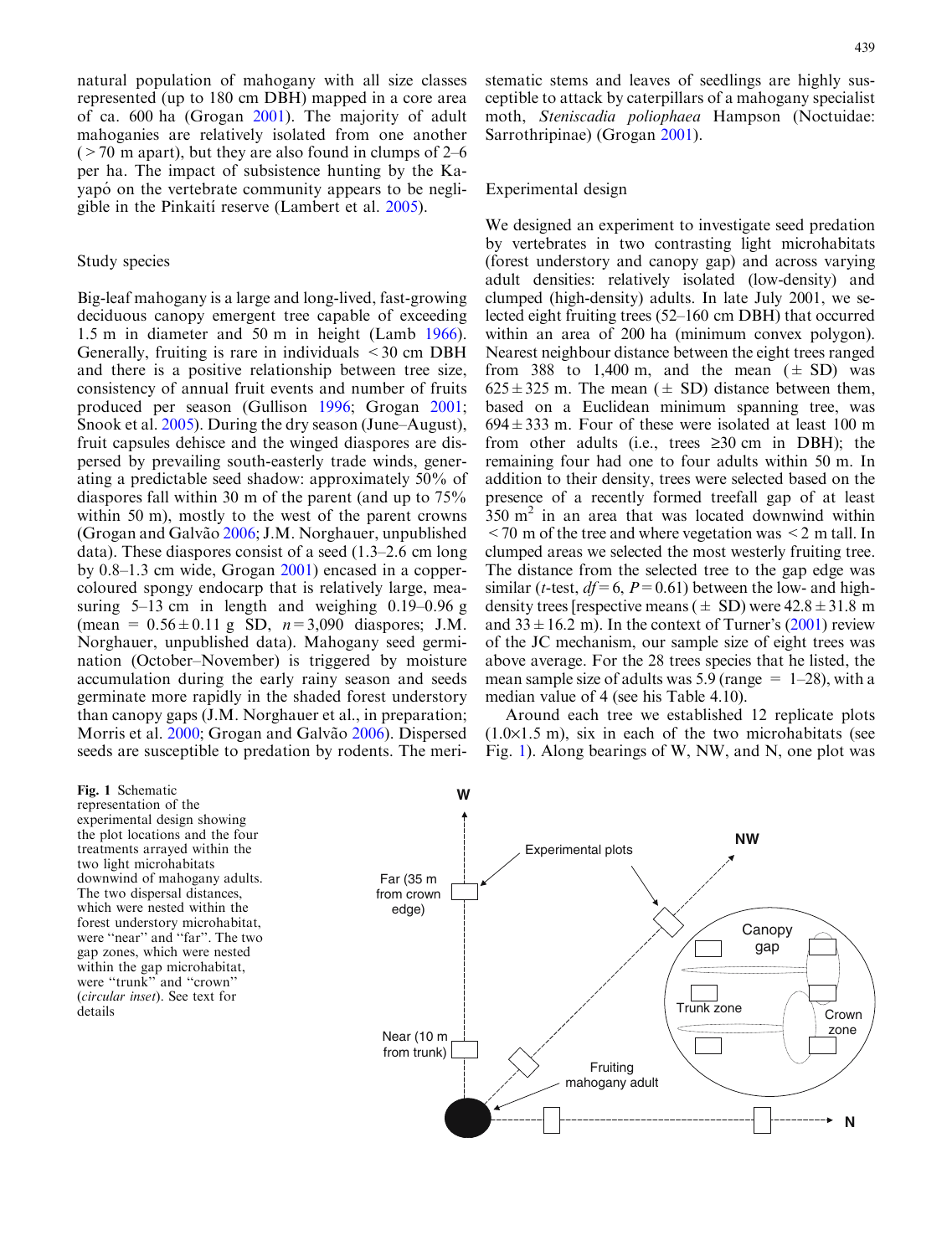natural population of mahogany with all size classes represented (up to 180 cm DBH) mapped in a core area of ca. 600 ha (Grogan [2001](#page-8-0)). The majority of adult mahoganies are relatively isolated from one another  $($  > 70 m apart), but they are also found in clumps of 2–6 per ha. The impact of subsistence hunting by the Kayapó on the vertebrate community appears to be negli-gible in the Pinkaití reserve (Lambert et al. [2005](#page-8-0)).

## Study species

Big-leaf mahogany is a large and long-lived, fast-growing deciduous canopy emergent tree capable of exceeding 1.5 m in diameter and 50 m in height (Lamb [1966\)](#page-8-0). Generally, fruiting is rare in individuals  $\leq 30$  cm DBH and there is a positive relationship between tree size, consistency of annual fruit events and number of fruits produced per season (Gullison [1996](#page-8-0); Grogan [2001](#page-8-0); Snook et al. [2005](#page-8-0)). During the dry season (June–August), fruit capsules dehisce and the winged diaspores are dispersed by prevailing south-easterly trade winds, generating a predictable seed shadow: approximately 50% of diaspores fall within 30 m of the parent (and up to 75% within 50 m), mostly to the west of the parent crowns (Grogan and Galvão [2006;](#page-8-0) J.M. Norghauer, unpublished data). These diaspores consist of a seed (1.3–2.6 cm long by 0.8–1.3 cm wide, Grogan [2001\)](#page-8-0) encased in a coppercoloured spongy endocarp that is relatively large, measuring 5–13 cm in length and weighing 0.19–0.96 g (mean =  $0.56 \pm 0.11$  g SD,  $n = 3,090$  diaspores; J.M. Norghauer, unpublished data). Mahogany seed germination (October–November) is triggered by moisture accumulation during the early rainy season and seeds germinate more rapidly in the shaded forest understory than canopy gaps (J.M. Norghauer et al., in preparation; Morris et al. [2000;](#page-8-0) Grogan and Galvão [2006](#page-8-0)). Dispersed seeds are susceptible to predation by rodents. The meri439

stematic stems and leaves of seedlings are highly susceptible to attack by caterpillars of a mahogany specialist moth, Steniscadia poliophaea Hampson (Noctuidae: Sarrothripinae) (Grogan [2001](#page-8-0)).

### Experimental design

We designed an experiment to investigate seed predation by vertebrates in two contrasting light microhabitats (forest understory and canopy gap) and across varying adult densities: relatively isolated (low-density) and clumped (high-density) adults. In late July 2001, we selected eight fruiting trees (52–160 cm DBH) that occurred within an area of 200 ha (minimum convex polygon). Nearest neighbour distance between the eight trees ranged from 388 to 1,400 m, and the mean  $(\pm SD)$  was  $625 \pm 325$  m. The mean ( $\pm$  SD) distance between them, based on a Euclidean minimum spanning tree, was  $694 \pm 333$  m. Four of these were isolated at least 100 m from other adults (i.e., trees  $\geq 30$  cm in DBH); the remaining four had one to four adults within 50 m. In addition to their density, trees were selected based on the presence of a recently formed treefall gap of at least  $350 \text{ m}^2$  in an area that was located downwind within  $\leq$  70 m of the tree and where vegetation was  $\leq$  2 m tall. In clumped areas we selected the most westerly fruiting tree. The distance from the selected tree to the gap edge was similar (*t*-test,  $df = 6$ ,  $P = 0.61$ ) between the low- and highdensity trees [respective means ( $\pm$  SD) were  $42.8 \pm 31.8$  m and  $33 \pm 16.2$  m). In the context of Turner's [\(2001\)](#page-8-0) review of the JC mechanism, our sample size of eight trees was above average. For the 28 trees species that he listed, the mean sample size of adults was 5.9 (range  $= 1-28$ ), with a median value of 4 (see his Table 4.10).

Around each tree we established 12 replicate plots  $(1.0\times1.5 \text{ m})$ , six in each of the two microhabitats (see Fig. 1). Along bearings of W, NW, and N, one plot was

Fig. 1 Schematic representation of the experimental design showing the plot locations and the four treatments arrayed within the two light microhabitats downwind of mahogany adults. The two dispersal distances, which were nested within the forest understory microhabitat, were ''near'' and ''far''. The two gap zones, which were nested within the gap microhabitat, were "trunk" and "crown" (circular inset). See text for details

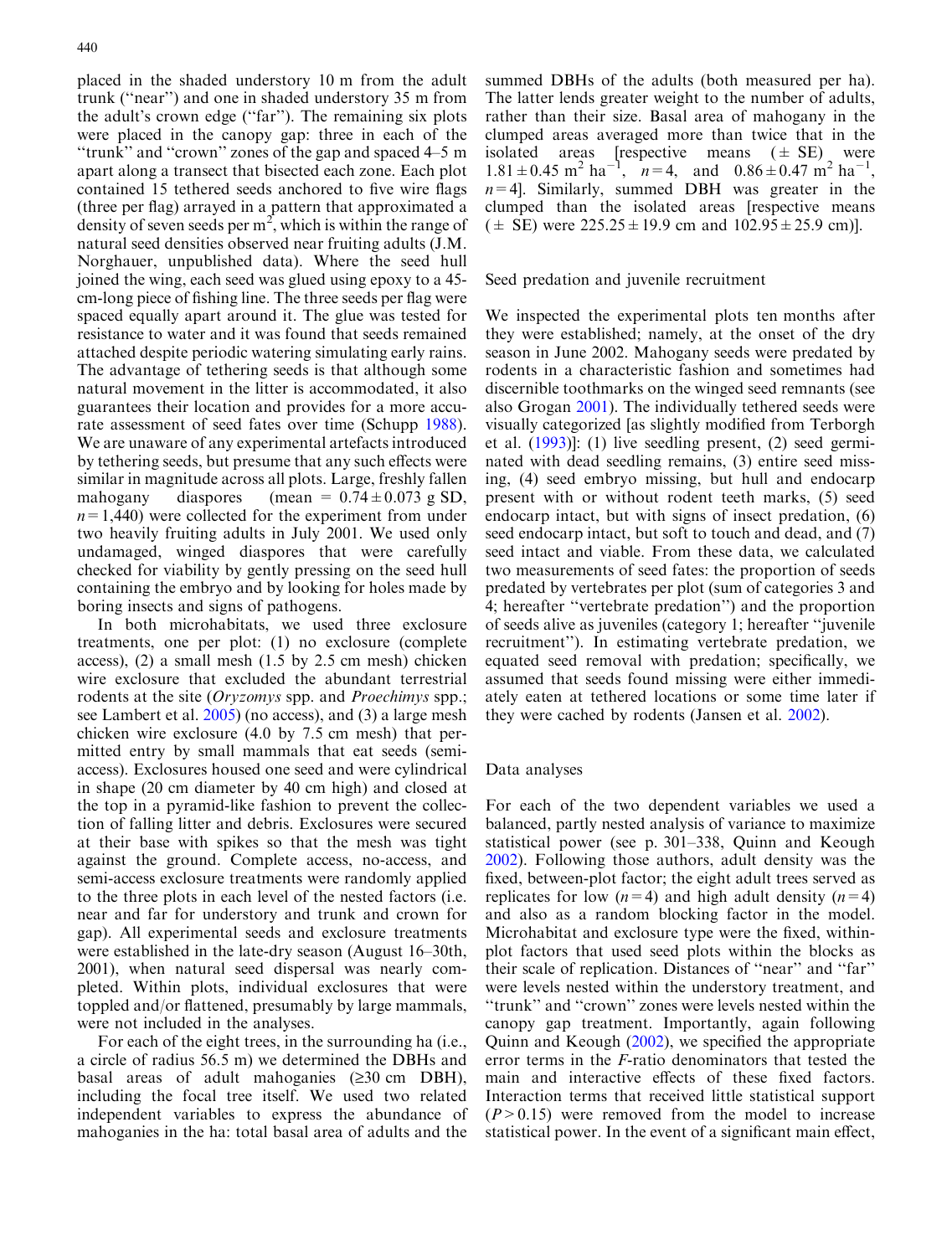placed in the shaded understory 10 m from the adult trunk (''near'') and one in shaded understory 35 m from the adult's crown edge (''far''). The remaining six plots were placed in the canopy gap: three in each of the ''trunk'' and ''crown'' zones of the gap and spaced 4–5 m apart along a transect that bisected each zone. Each plot contained 15 tethered seeds anchored to five wire flags (three per flag) arrayed in a pattern that approximated a density of seven seeds per  $m^2$ , which is within the range of natural seed densities observed near fruiting adults (J.M. Norghauer, unpublished data). Where the seed hull joined the wing, each seed was glued using epoxy to a 45 cm-long piece of fishing line. The three seeds per flag were spaced equally apart around it. The glue was tested for resistance to water and it was found that seeds remained attached despite periodic watering simulating early rains. The advantage of tethering seeds is that although some natural movement in the litter is accommodated, it also guarantees their location and provides for a more accurate assessment of seed fates over time (Schupp [1988\)](#page-8-0). We are unaware of any experimental artefacts introduced by tethering seeds, but presume that any such effects were similar in magnitude across all plots. Large, freshly fallen mahogany diaspores (mean =  $0.74 \pm 0.073$  g SD,  $n=1,440$ ) were collected for the experiment from under two heavily fruiting adults in July 2001. We used only undamaged, winged diaspores that were carefully checked for viability by gently pressing on the seed hull containing the embryo and by looking for holes made by boring insects and signs of pathogens.

In both microhabitats, we used three exclosure treatments, one per plot: (1) no exclosure (complete access), (2) a small mesh (1.5 by 2.5 cm mesh) chicken wire exclosure that excluded the abundant terrestrial rodents at the site (*Oryzomys* spp. and *Proechimys* spp.; see Lambert et al. [2005](#page-8-0)) (no access), and (3) a large mesh chicken wire exclosure (4.0 by 7.5 cm mesh) that permitted entry by small mammals that eat seeds (semiaccess). Exclosures housed one seed and were cylindrical in shape (20 cm diameter by 40 cm high) and closed at the top in a pyramid-like fashion to prevent the collection of falling litter and debris. Exclosures were secured at their base with spikes so that the mesh was tight against the ground. Complete access, no-access, and semi-access exclosure treatments were randomly applied to the three plots in each level of the nested factors (i.e. near and far for understory and trunk and crown for gap). All experimental seeds and exclosure treatments were established in the late-dry season (August 16–30th, 2001), when natural seed dispersal was nearly completed. Within plots, individual exclosures that were toppled and/or flattened, presumably by large mammals, were not included in the analyses.

For each of the eight trees, in the surrounding ha (i.e., a circle of radius 56.5 m) we determined the DBHs and basal areas of adult mahoganies  $(230 \text{ cm} \text{ DBH})$ , including the focal tree itself. We used two related independent variables to express the abundance of mahoganies in the ha: total basal area of adults and the summed DBHs of the adults (both measured per ha). The latter lends greater weight to the number of adults, rather than their size. Basal area of mahogany in the clumped areas averaged more than twice that in the isolated areas [respective means  $(\pm \text{ SE})$  were  $1.81 \pm 0.45$  m<sup>2</sup> ha<sup>-1</sup>,  $n=4$ , and  $0.86 \pm 0.47$  m<sup>2</sup> ha<sup>-1</sup>,  $n=4$ . Similarly, summed DBH was greater in the clumped than the isolated areas [respective means  $(\pm$  SE) were 225.25  $\pm$  19.9 cm and 102.95  $\pm$  25.9 cm).

## Seed predation and juvenile recruitment

We inspected the experimental plots ten months after they were established; namely, at the onset of the dry season in June 2002. Mahogany seeds were predated by rodents in a characteristic fashion and sometimes had discernible toothmarks on the winged seed remnants (see also Grogan [2001](#page-8-0)). The individually tethered seeds were visually categorized [as slightly modified from Terborgh et al. ([1993](#page-8-0))]: (1) live seedling present, (2) seed germinated with dead seedling remains, (3) entire seed missing, (4) seed embryo missing, but hull and endocarp present with or without rodent teeth marks, (5) seed endocarp intact, but with signs of insect predation, (6) seed endocarp intact, but soft to touch and dead, and (7) seed intact and viable. From these data, we calculated two measurements of seed fates: the proportion of seeds predated by vertebrates per plot (sum of categories 3 and 4; hereafter ''vertebrate predation'') and the proportion of seeds alive as juveniles (category 1; hereafter ''juvenile recruitment''). In estimating vertebrate predation, we equated seed removal with predation; specifically, we assumed that seeds found missing were either immediately eaten at tethered locations or some time later if they were cached by rodents (Jansen et al. [2002\)](#page-8-0).

## Data analyses

For each of the two dependent variables we used a balanced, partly nested analysis of variance to maximize statistical power (see p. 301–338, Quinn and Keough [2002\)](#page-8-0). Following those authors, adult density was the fixed, between-plot factor; the eight adult trees served as replicates for low  $(n=4)$  and high adult density  $(n=4)$ and also as a random blocking factor in the model. Microhabitat and exclosure type were the fixed, withinplot factors that used seed plots within the blocks as their scale of replication. Distances of ''near'' and ''far'' were levels nested within the understory treatment, and ''trunk'' and ''crown'' zones were levels nested within the canopy gap treatment. Importantly, again following Quinn and Keough ([2002](#page-8-0)), we specified the appropriate error terms in the F-ratio denominators that tested the main and interactive effects of these fixed factors. Interaction terms that received little statistical support  $(P>0.15)$  were removed from the model to increase statistical power. In the event of a significant main effect,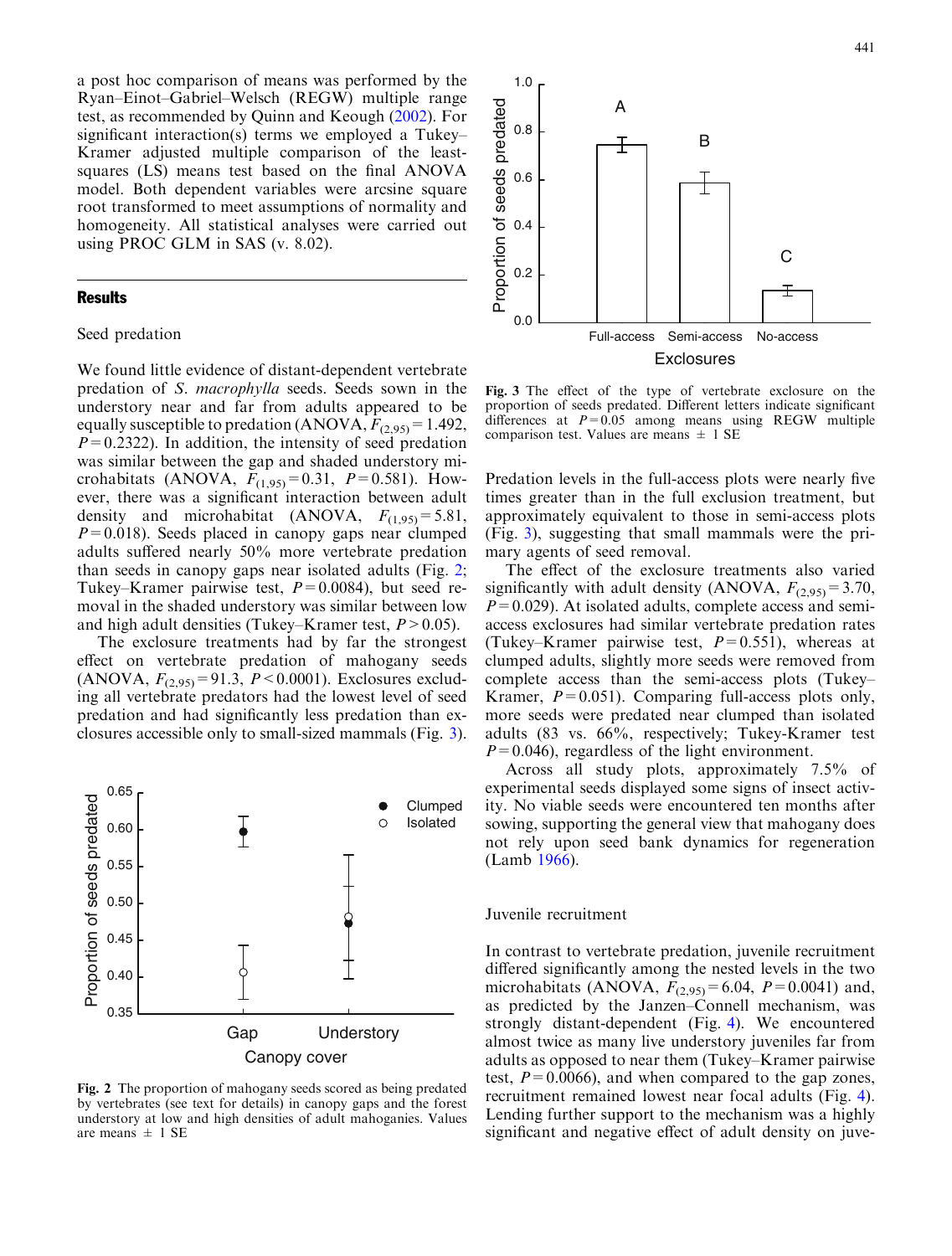<span id="page-4-0"></span>a post hoc comparison of means was performed by the Ryan–Einot–Gabriel–Welsch (REGW) multiple range test, as recommended by Quinn and Keough ([2002\)](#page-8-0). For significant interaction(s) terms we employed a Tukey– Kramer adjusted multiple comparison of the leastsquares (LS) means test based on the final ANOVA model. Both dependent variables were arcsine square root transformed to meet assumptions of normality and homogeneity. All statistical analyses were carried out using PROC GLM in SAS (v. 8.02).

#### **Results**

#### Seed predation

We found little evidence of distant-dependent vertebrate predation of S. macrophylla seeds. Seeds sown in the understory near and far from adults appeared to be equally susceptible to predation (ANOVA,  $F_{(2,95)}=1.492$ ,  $P=0.2322$ ). In addition, the intensity of seed predation was similar between the gap and shaded understory microhabitats (ANOVA,  $F_{(1,95)}=0.31$ ,  $P=0.581$ ). However, there was a significant interaction between adult density and microhabitat (ANOVA,  $F_{(1,95)} = 5.81$ ,  $P=0.018$ ). Seeds placed in canopy gaps near clumped adults suffered nearly 50% more vertebrate predation than seeds in canopy gaps near isolated adults (Fig. 2; Tukey–Kramer pairwise test,  $P=0.0084$ ), but seed removal in the shaded understory was similar between low and high adult densities (Tukey–Kramer test,  $P > 0.05$ ).

The exclosure treatments had by far the strongest effect on vertebrate predation of mahogany seeds (ANOVA,  $F_{(2,95)} = 91.3$ ,  $P < 0.0001$ ). Exclosures excluding all vertebrate predators had the lowest level of seed predation and had significantly less predation than exclosures accessible only to small-sized mammals (Fig. 3).



Fig. 2 The proportion of mahogany seeds scored as being predated by vertebrates (see text for details) in canopy gaps and the forest understory at low and high densities of adult mahoganies. Values are means  $\pm$  1 SE



Fig. 3 The effect of the type of vertebrate exclosure on the proportion of seeds predated. Different letters indicate significant differences at  $P=0.05$  among means using REGW multiple comparison test. Values are means  $\pm$  1 SE

Predation levels in the full-access plots were nearly five times greater than in the full exclusion treatment, but approximately equivalent to those in semi-access plots (Fig. 3), suggesting that small mammals were the primary agents of seed removal.

The effect of the exclosure treatments also varied significantly with adult density (ANOVA,  $F_{(2,95)} = 3.70$ ,  $P=0.029$ ). At isolated adults, complete access and semiaccess exclosures had similar vertebrate predation rates (Tukey–Kramer pairwise test,  $P=0.551$ ), whereas at clumped adults, slightly more seeds were removed from complete access than the semi-access plots (Tukey– Kramer,  $P=0.051$ ). Comparing full-access plots only, more seeds were predated near clumped than isolated adults (83 vs. 66%, respectively; Tukey-Kramer test  $P=0.046$ , regardless of the light environment.

Across all study plots, approximately 7.5% of experimental seeds displayed some signs of insect activity. No viable seeds were encountered ten months after sowing, supporting the general view that mahogany does not rely upon seed bank dynamics for regeneration (Lamb [1966](#page-8-0)).

## Juvenile recruitment

In contrast to vertebrate predation, juvenile recruitment differed significantly among the nested levels in the two microhabitats (ANOVA,  $F_{(2,95)} = 6.04$ ,  $P = 0.0041$ ) and, as predicted by the Janzen–Connell mechanism, was strongly distant-dependent (Fig. [4](#page-5-0)). We encountered almost twice as many live understory juveniles far from adults as opposed to near them (Tukey–Kramer pairwise test,  $P=0.0066$ , and when compared to the gap zones, recruitment remained lowest near focal adults (Fig. [4\)](#page-5-0). Lending further support to the mechanism was a highly significant and negative effect of adult density on juve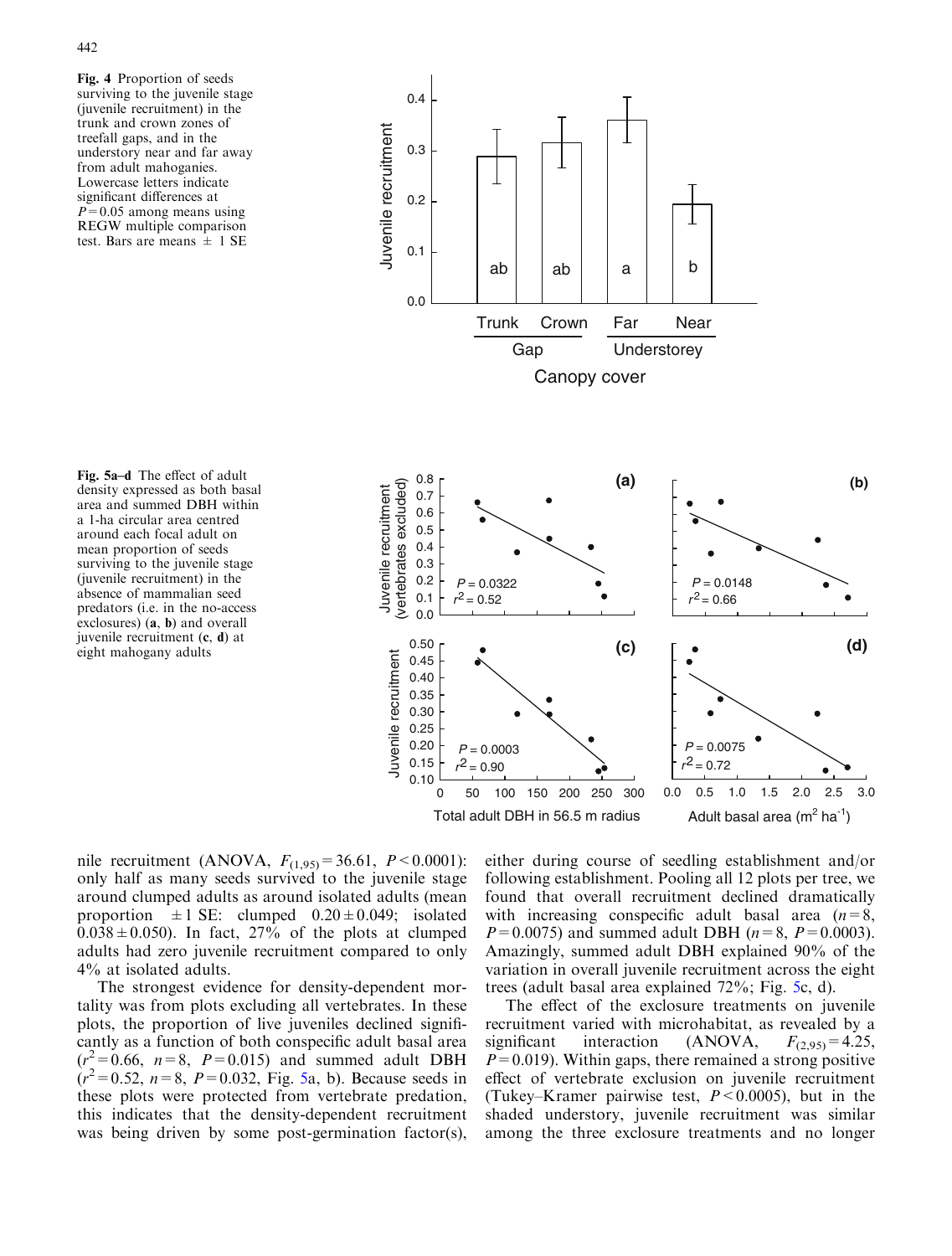<span id="page-5-0"></span>Fig. 4 Proportion of seeds surviving to the juvenile stage (juvenile recruitment) in the trunk and crown zones of treefall gaps, and in the understory near and far away from adult mahoganies. Lowercase letters indicate significant differences at  $P=0.05$  among means using REGW multiple comparison test. Bars are means  $\pm$  1 SE

Fig. 5a–d The effect of adult density expressed as both basal area and summed DBH within a 1-ha circular area centred around each focal adult on mean proportion of seeds surviving to the juvenile stage (juvenile recruitment) in the absence of mammalian seed predators (i.e. in the no-access exclosures) (a, b) and overall juvenile recruitment (c, d) at eight mahogany adults



nile recruitment (ANOVA,  $F_{(1,95)} = 36.61$ ,  $P < 0.0001$ ): only half as many seeds survived to the juvenile stage around clumped adults as around isolated adults (mean proportion  $\pm 1$  SE: clumped  $0.20 \pm 0.049$ ; isolated  $0.038 \pm 0.050$ . In fact, 27% of the plots at clumped adults had zero juvenile recruitment compared to only 4% at isolated adults.

The strongest evidence for density-dependent mortality was from plots excluding all vertebrates. In these plots, the proportion of live juveniles declined significantly as a function of both conspecific adult basal area  $(r^2=0.66, n=8, P=0.015)$  and summed adult DBH  $(r^2 = 0.52, n = 8, P = 0.032,$  Fig. 5a, b). Because seeds in these plots were protected from vertebrate predation, this indicates that the density-dependent recruitment was being driven by some post-germination factor(s),

either during course of seedling establishment and/or following establishment. Pooling all 12 plots per tree, we found that overall recruitment declined dramatically with increasing conspecific adult basal area  $(n=8,$  $P=0.0075$  and summed adult DBH ( $n=8$ ,  $P=0.0003$ ). Amazingly, summed adult DBH explained 90% of the variation in overall juvenile recruitment across the eight trees (adult basal area explained 72%; Fig. 5c, d).

The effect of the exclosure treatments on juvenile recruitment varied with microhabitat, as revealed by a significant interaction (ANOVA,  $F_{(2,95)} = 4.25$ ,  $P=0.019$ ). Within gaps, there remained a strong positive effect of vertebrate exclusion on juvenile recruitment (Tukey–Kramer pairwise test,  $P \le 0.0005$ ), but in the shaded understory, juvenile recruitment was similar among the three exclosure treatments and no longer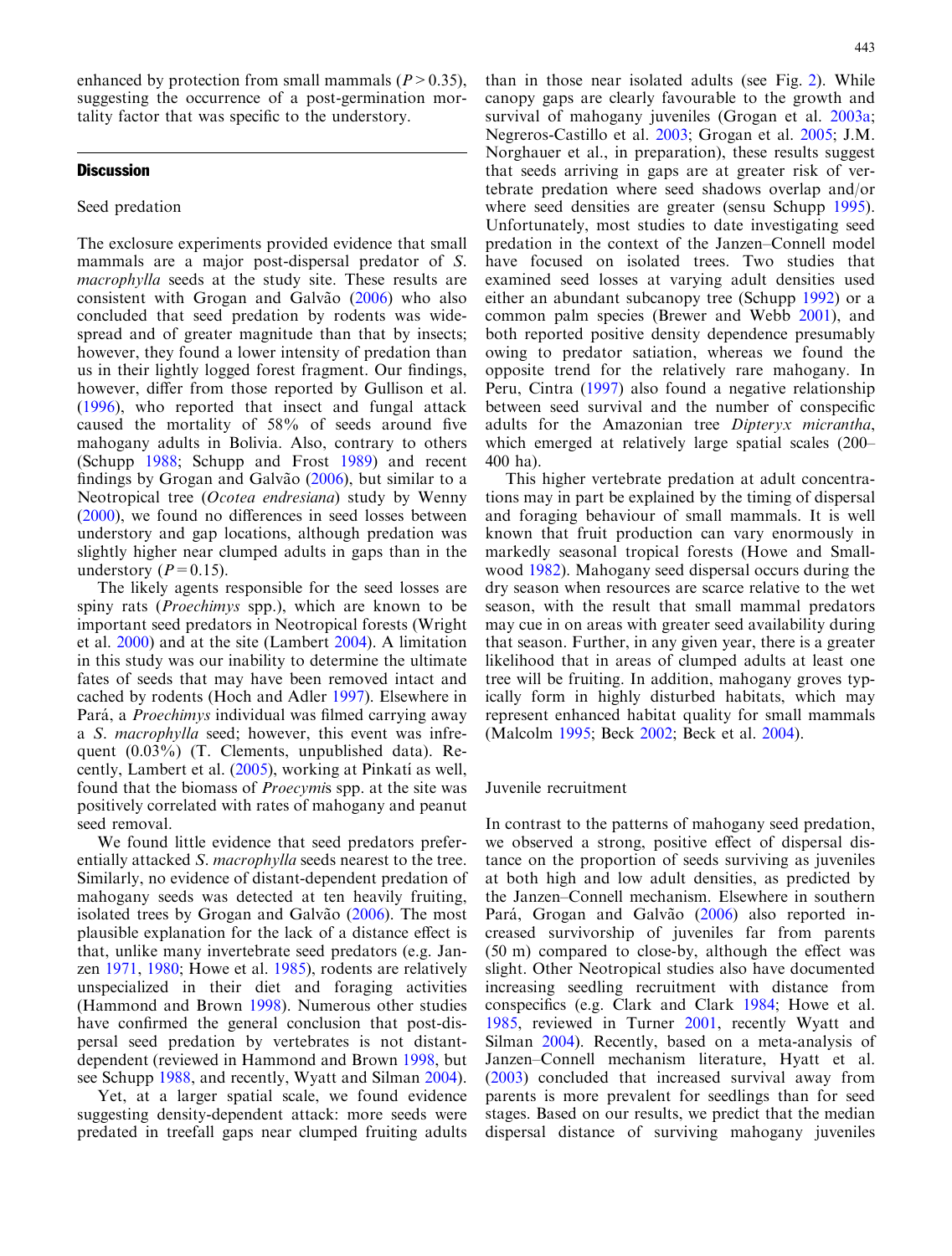enhanced by protection from small mammals ( $P > 0.35$ ), suggesting the occurrence of a post-germination mortality factor that was specific to the understory.

# **Discussion**

# Seed predation

The exclosure experiments provided evidence that small mammals are a major post-dispersal predator of S. macrophylla seeds at the study site. These results are consistent with Grogan and Galvão  $(2006)$  $(2006)$  $(2006)$  who also concluded that seed predation by rodents was widespread and of greater magnitude than that by insects; however, they found a lower intensity of predation than us in their lightly logged forest fragment. Our findings, however, differ from those reported by Gullison et al. ([1996\)](#page-8-0), who reported that insect and fungal attack caused the mortality of 58% of seeds around five mahogany adults in Bolivia. Also, contrary to others (Schupp [1988;](#page-8-0) Schupp and Frost [1989\)](#page-8-0) and recent findings by Grogan and Galvão  $(2006)$ , but similar to a Neotropical tree (Ocotea endresiana) study by Wenny ([2000\)](#page-9-0), we found no differences in seed losses between understory and gap locations, although predation was slightly higher near clumped adults in gaps than in the understory ( $P=0.15$ ).

The likely agents responsible for the seed losses are spiny rats (Proechimys spp.), which are known to be important seed predators in Neotropical forests (Wright et al. [2000](#page-9-0)) and at the site (Lambert [2004](#page-8-0)). A limitation in this study was our inability to determine the ultimate fates of seeds that may have been removed intact and cached by rodents (Hoch and Adler [1997\)](#page-8-0). Elsewhere in Pará, a *Proechimys* individual was filmed carrying away a S. macrophylla seed; however, this event was infrequent (0.03%) (T. Clements, unpublished data). Re-cently, Lambert et al. [\(2005](#page-8-0)), working at Pinkatí as well, found that the biomass of Proecymis spp. at the site was positively correlated with rates of mahogany and peanut seed removal.

We found little evidence that seed predators preferentially attacked S. macrophylla seeds nearest to the tree. Similarly, no evidence of distant-dependent predation of mahogany seeds was detected at ten heavily fruiting, isolated trees by Grogan and Galvão  $(2006)$  $(2006)$  $(2006)$ . The most plausible explanation for the lack of a distance effect is that, unlike many invertebrate seed predators (e.g. Janzen [1971](#page-8-0), [1980](#page-8-0); Howe et al. [1985](#page-8-0)), rodents are relatively unspecialized in their diet and foraging activities (Hammond and Brown [1998\)](#page-8-0). Numerous other studies have confirmed the general conclusion that post-dispersal seed predation by vertebrates is not distantdependent (reviewed in Hammond and Brown [1998,](#page-8-0) but see Schupp [1988](#page-8-0), and recently, Wyatt and Silman [2004\)](#page-9-0).

Yet, at a larger spatial scale, we found evidence suggesting density-dependent attack: more seeds were predated in treefall gaps near clumped fruiting adults

than in those near isolated adults (see Fig. [2](#page-4-0)). While canopy gaps are clearly favourable to the growth and survival of mahogany juveniles (Grogan et al. [2003a](#page-8-0); Negreros-Castillo et al. [2003](#page-8-0); Grogan et al. [2005](#page-8-0); J.M. Norghauer et al., in preparation), these results suggest that seeds arriving in gaps are at greater risk of vertebrate predation where seed shadows overlap and/or where seed densities are greater (sensu Schupp [1995\)](#page-8-0). Unfortunately, most studies to date investigating seed predation in the context of the Janzen–Connell model have focused on isolated trees. Two studies that examined seed losses at varying adult densities used either an abundant subcanopy tree (Schupp [1992\)](#page-8-0) or a common palm species (Brewer and Webb [2001\)](#page-8-0), and both reported positive density dependence presumably owing to predator satiation, whereas we found the opposite trend for the relatively rare mahogany. In Peru, Cintra [\(1997\)](#page-8-0) also found a negative relationship between seed survival and the number of conspecific adults for the Amazonian tree Dipteryx micrantha, which emerged at relatively large spatial scales (200– 400 ha).

This higher vertebrate predation at adult concentrations may in part be explained by the timing of dispersal and foraging behaviour of small mammals. It is well known that fruit production can vary enormously in markedly seasonal tropical forests (Howe and Smallwood [1982\)](#page-8-0). Mahogany seed dispersal occurs during the dry season when resources are scarce relative to the wet season, with the result that small mammal predators may cue in on areas with greater seed availability during that season. Further, in any given year, there is a greater likelihood that in areas of clumped adults at least one tree will be fruiting. In addition, mahogany groves typically form in highly disturbed habitats, which may represent enhanced habitat quality for small mammals (Malcolm [1995](#page-8-0); Beck [2002](#page-8-0); Beck et al. [2004\)](#page-8-0).

# Juvenile recruitment

In contrast to the patterns of mahogany seed predation, we observed a strong, positive effect of dispersal distance on the proportion of seeds surviving as juveniles at both high and low adult densities, as predicted by the Janzen–Connell mechanism. Elsewhere in southern Pará, Grogan and Galvão ([2006](#page-8-0)) also reported increased survivorship of juveniles far from parents (50 m) compared to close-by, although the effect was slight. Other Neotropical studies also have documented increasing seedling recruitment with distance from conspecifics (e.g. Clark and Clark [1984](#page-8-0); Howe et al. [1985,](#page-8-0) reviewed in Turner [2001](#page-8-0), recently Wyatt and Silman [2004](#page-9-0)). Recently, based on a meta-analysis of Janzen–Connell mechanism literature, Hyatt et al. ([2003](#page-8-0)) concluded that increased survival away from parents is more prevalent for seedlings than for seed stages. Based on our results, we predict that the median dispersal distance of surviving mahogany juveniles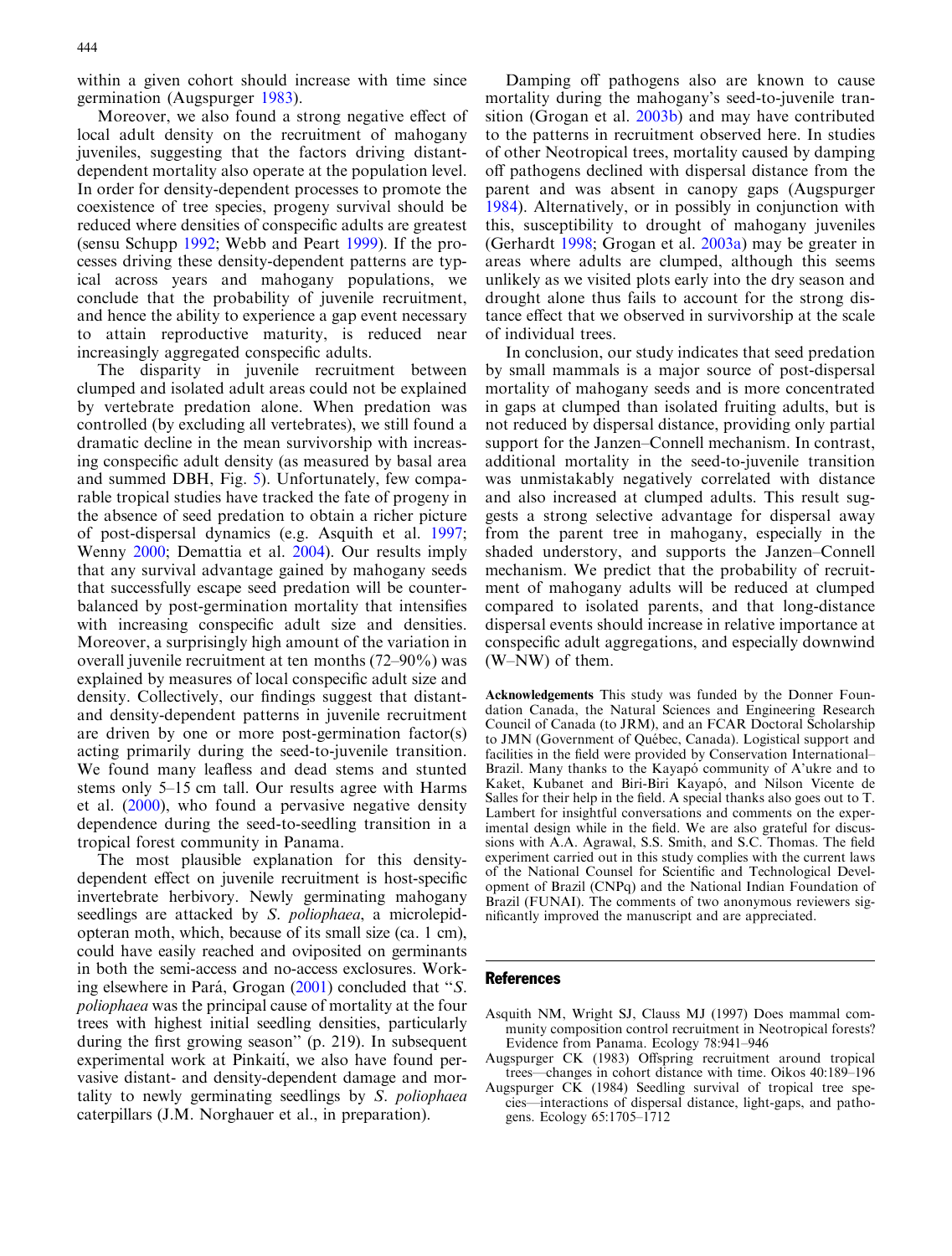<span id="page-7-0"></span>Moreover, we also found a strong negative effect of local adult density on the recruitment of mahogany juveniles, suggesting that the factors driving distantdependent mortality also operate at the population level. In order for density-dependent processes to promote the coexistence of tree species, progeny survival should be reduced where densities of conspecific adults are greatest (sensu Schupp [1992;](#page-8-0) Webb and Peart [1999](#page-8-0)). If the processes driving these density-dependent patterns are typical across years and mahogany populations, we conclude that the probability of juvenile recruitment, and hence the ability to experience a gap event necessary to attain reproductive maturity, is reduced near increasingly aggregated conspecific adults.

The disparity in juvenile recruitment between clumped and isolated adult areas could not be explained by vertebrate predation alone. When predation was controlled (by excluding all vertebrates), we still found a dramatic decline in the mean survivorship with increasing conspecific adult density (as measured by basal area and summed DBH, Fig. [5](#page-5-0)). Unfortunately, few comparable tropical studies have tracked the fate of progeny in the absence of seed predation to obtain a richer picture of post-dispersal dynamics (e.g. Asquith et al. 1997; Wenny [2000;](#page-9-0) Demattia et al. [2004](#page-8-0)). Our results imply that any survival advantage gained by mahogany seeds that successfully escape seed predation will be counterbalanced by post-germination mortality that intensifies with increasing conspecific adult size and densities. Moreover, a surprisingly high amount of the variation in overall juvenile recruitment at ten months (72–90%) was explained by measures of local conspecific adult size and density. Collectively, our findings suggest that distantand density-dependent patterns in juvenile recruitment are driven by one or more post-germination factor(s) acting primarily during the seed-to-juvenile transition. We found many leafless and dead stems and stunted stems only 5–15 cm tall. Our results agree with Harms et al. ([2000](#page-8-0)), who found a pervasive negative density dependence during the seed-to-seedling transition in a tropical forest community in Panama.

The most plausible explanation for this densitydependent effect on juvenile recruitment is host-specific invertebrate herbivory. Newly germinating mahogany seedlings are attacked by S. poliophaea, a microlepidopteran moth, which, because of its small size (ca. 1 cm), could have easily reached and oviposited on germinants in both the semi-access and no-access exclosures. Working elsewhere in Pará, Grogan  $(2001)$  $(2001)$  concluded that "S. poliophaea was the principal cause of mortality at the four trees with highest initial seedling densities, particularly during the first growing season'' (p. 219). In subsequent experimental work at Pinkaiti, we also have found pervasive distant- and density-dependent damage and mortality to newly germinating seedlings by S. poliophaea caterpillars (J.M. Norghauer et al., in preparation).

Damping off pathogens also are known to cause mortality during the mahogany's seed-to-juvenile transition (Grogan et al. [2003b](#page-8-0)) and may have contributed to the patterns in recruitment observed here. In studies of other Neotropical trees, mortality caused by damping off pathogens declined with dispersal distance from the parent and was absent in canopy gaps (Augspurger 1984). Alternatively, or in possibly in conjunction with this, susceptibility to drought of mahogany juveniles (Gerhardt [1998](#page-8-0); Grogan et al. [2003a\)](#page-8-0) may be greater in areas where adults are clumped, although this seems unlikely as we visited plots early into the dry season and drought alone thus fails to account for the strong distance effect that we observed in survivorship at the scale of individual trees.

In conclusion, our study indicates that seed predation by small mammals is a major source of post-dispersal mortality of mahogany seeds and is more concentrated in gaps at clumped than isolated fruiting adults, but is not reduced by dispersal distance, providing only partial support for the Janzen–Connell mechanism. In contrast, additional mortality in the seed-to-juvenile transition was unmistakably negatively correlated with distance and also increased at clumped adults. This result suggests a strong selective advantage for dispersal away from the parent tree in mahogany, especially in the shaded understory, and supports the Janzen–Connell mechanism. We predict that the probability of recruitment of mahogany adults will be reduced at clumped compared to isolated parents, and that long-distance dispersal events should increase in relative importance at conspecific adult aggregations, and especially downwind (W–NW) of them.

Acknowledgements This study was funded by the Donner Foundation Canada, the Natural Sciences and Engineering Research Council of Canada (to JRM), and an FCAR Doctoral Scholarship to JMN (Government of Québec, Canada). Logistical support and facilities in the field were provided by Conservation International– Brazil. Many thanks to the Kayapó community of A'ukre and to Kaket, Kubanet and Biri-Biri Kayapó, and Nilson Vicente de Salles for their help in the field. A special thanks also goes out to T. Lambert for insightful conversations and comments on the experimental design while in the field. We are also grateful for discussions with A.A. Agrawal, S.S. Smith, and S.C. Thomas. The field experiment carried out in this study complies with the current laws of the National Counsel for Scientific and Technological Development of Brazil (CNPq) and the National Indian Foundation of Brazil (FUNAI). The comments of two anonymous reviewers significantly improved the manuscript and are appreciated.

#### References

- Asquith NM, Wright SJ, Clauss MJ (1997) Does mammal community composition control recruitment in Neotropical forests? Evidence from Panama. Ecology 78:941–946
- Augspurger CK (1983) Offspring recruitment around tropical trees—changes in cohort distance with time. Oikos 40:189–196
- Augspurger CK (1984) Seedling survival of tropical tree species—interactions of dispersal distance, light-gaps, and pathogens. Ecology 65:1705–1712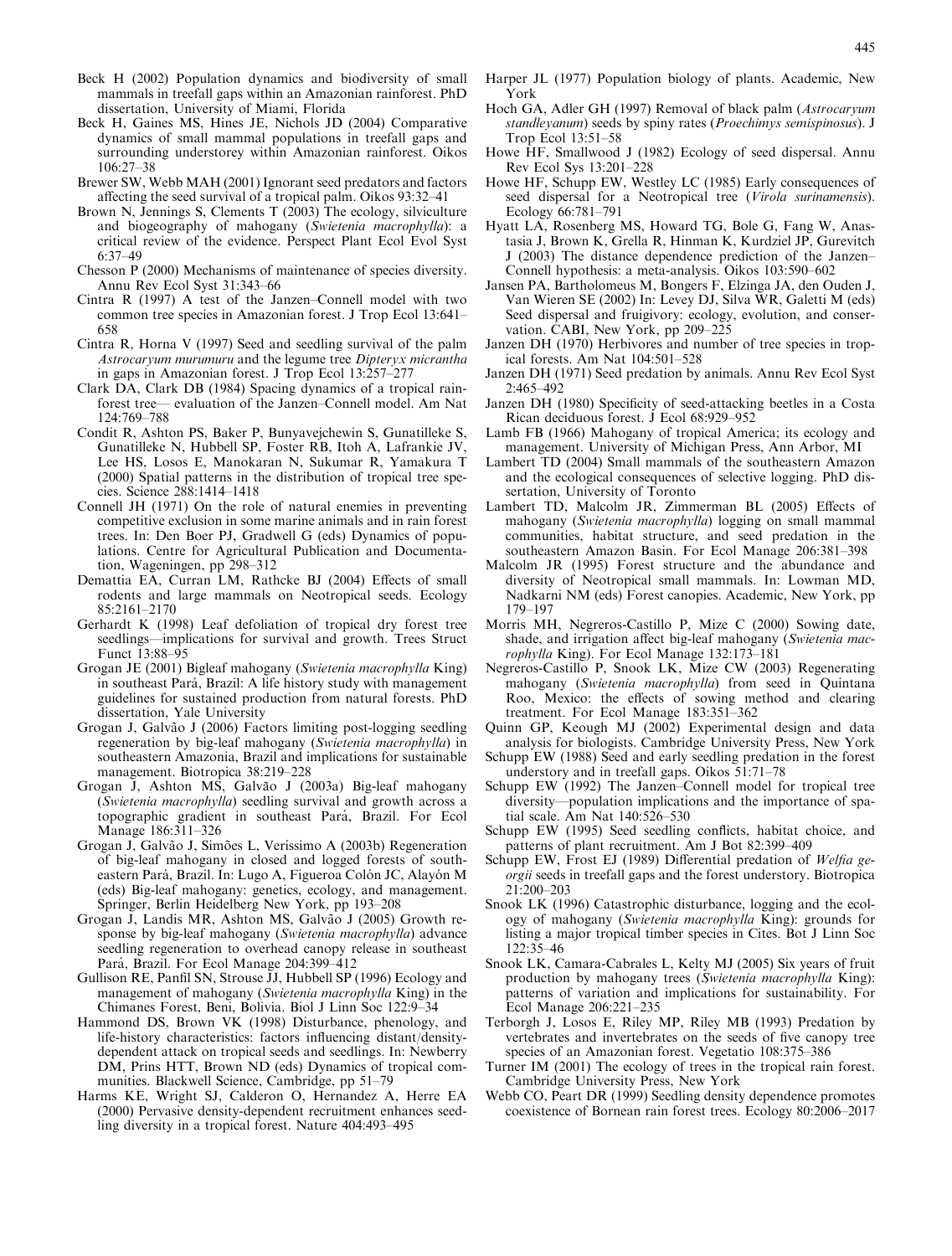- <span id="page-8-0"></span>Beck H (2002) Population dynamics and biodiversity of small mammals in treefall gaps within an Amazonian rainforest. PhD dissertation, University of Miami, Florida
- Beck H, Gaines MS, Hines JE, Nichols JD (2004) Comparative dynamics of small mammal populations in treefall gaps and surrounding understorey within Amazonian rainforest. Oikos 106:27–38
- Brewer SW, Webb MAH (2001) Ignorant seed predators and factors affecting the seed survival of a tropical palm. Oikos 93:32–41
- Brown N, Jennings S, Clements T (2003) The ecology, silviculture and biogeography of mahogany (Swietenia macrophylla): a critical review of the evidence. Perspect Plant Ecol Evol Syst 6:37–49
- Chesson P (2000) Mechanisms of maintenance of species diversity. Annu Rev Ecol Syst 31:343–66
- Cintra R (1997) A test of the Janzen–Connell model with two common tree species in Amazonian forest. J Trop Ecol 13:641– 658
- Cintra R, Horna V (1997) Seed and seedling survival of the palm Astrocaryum murumuru and the legume tree Dipteryx micrantha in gaps in Amazonian forest. J Trop Ecol 13:257–277
- Clark DA, Clark DB (1984) Spacing dynamics of a tropical rainforest tree— evaluation of the Janzen–Connell model. Am Nat 124:769–788
- Condit R, Ashton PS, Baker P, Bunyavejchewin S, Gunatilleke S, Gunatilleke N, Hubbell SP, Foster RB, Itoh A, Lafrankie JV, Lee HS, Losos E, Manokaran N, Sukumar R, Yamakura T (2000) Spatial patterns in the distribution of tropical tree species. Science 288:1414–1418
- Connell JH (1971) On the role of natural enemies in preventing competitive exclusion in some marine animals and in rain forest trees. In: Den Boer PJ, Gradwell G (eds) Dynamics of populations. Centre for Agricultural Publication and Documentation, Wageningen, pp 298–312
- Demattia EA, Curran LM, Rathcke BJ (2004) Effects of small rodents and large mammals on Neotropical seeds. Ecology 85:2161–2170
- Gerhardt K (1998) Leaf defoliation of tropical dry forest tree seedlings—implications for survival and growth. Trees Struct Funct 13:88–95
- Grogan JE (2001) Bigleaf mahogany (Swietenia macrophylla King) in southeast Pará, Brazil: A life history study with management guidelines for sustained production from natural forests. PhD dissertation, Yale University
- Grogan J, Galvão J (2006) Factors limiting post-logging seedling regeneration by big-leaf mahogany (Swietenia macrophylla) in southeastern Amazonia, Brazil and implications for sustainable management. Biotropica 38:219–228
- Grogan J, Ashton MS, Galvão J (2003a) Big-leaf mahogany (Swietenia macrophylla) seedling survival and growth across a topographic gradient in southeast Para´, Brazil. For Ecol Manage 186:311–326
- Grogan J, Galvão J, Simões L, Veríssimo A (2003b) Regeneration of big-leaf mahogany in closed and logged forests of southeastern Pará, Brazil. In: Lugo A, Figueroa Colón JC, Alayón M (eds) Big-leaf mahogany: genetics, ecology, and management. Springer, Berlin Heidelberg New York, pp 193–208
- Grogan J, Landis MR, Ashton MS, Galvão J (2005) Growth response by big-leaf mahogany (Swietenia macrophylla) advance seedling regeneration to overhead canopy release in southeast Pará, Brazil. For Ecol Manage 204:399-412
- Gullison RE, Panfil SN, Strouse JJ, Hubbell SP (1996) Ecology and management of mahogany (Swietenia macrophylla King) in the Chimanes Forest, Beni, Bolivia. Biol J Linn Soc 122:9–34
- Hammond DS, Brown VK (1998) Disturbance, phenology, and life-history characteristics: factors influencing distant/densitydependent attack on tropical seeds and seedlings. In: Newberry DM, Prins HTT, Brown ND (eds) Dynamics of tropical communities. Blackwell Science, Cambridge, pp 51–79
- Harms KE, Wright SJ, Calderon O, Hernandez A, Herre EA (2000) Pervasive density-dependent recruitment enhances seedling diversity in a tropical forest. Nature 404:493–495
- Harper JL (1977) Population biology of plants. Academic, New York
- Hoch GA, Adler GH (1997) Removal of black palm (Astrocaryum standleyanum) seeds by spiny rates (Proechimys semispinosus). J Trop Ecol 13:51–58
- Howe HF, Smallwood J (1982) Ecology of seed dispersal. Annu Rev Ecol Sys 13:201–228
- Howe HF, Schupp EW, Westley LC (1985) Early consequences of seed dispersal for a Neotropical tree (Virola surinamensis). Ecology 66:781–791
- Hyatt LA, Rosenberg MS, Howard TG, Bole G, Fang W, Anastasia J, Brown K, Grella R, Hinman K, Kurdziel JP, Gurevitch J (2003) The distance dependence prediction of the Janzen– Connell hypothesis: a meta-analysis. Oikos 103:590–602
- Jansen PA, Bartholomeus M, Bongers F, Elzinga JA, den Ouden J, Van Wieren SE (2002) In: Levey DJ, Silva WR, Galetti M (eds) Seed dispersal and fruigivory: ecology, evolution, and conservation. CABI, New York, pp 209–225
- Janzen DH (1970) Herbivores and number of tree species in tropical forests. Am Nat 104:501–528
- Janzen DH (1971) Seed predation by animals. Annu Rev Ecol Syst 2:465–492
- Janzen DH (1980) Specificity of seed-attacking beetles in a Costa Rican deciduous forest. J Ecol 68:929–952
- Lamb FB (1966) Mahogany of tropical America; its ecology and management. University of Michigan Press, Ann Arbor, MI
- Lambert TD (2004) Small mammals of the southeastern Amazon and the ecological consequences of selective logging. PhD dissertation, University of Toronto
- Lambert TD, Malcolm JR, Zimmerman BL (2005) Effects of mahogany (Swietenia macrophylla) logging on small mammal communities, habitat structure, and seed predation in the southeastern Amazon Basin. For Ecol Manage 206:381–398
- Malcolm JR (1995) Forest structure and the abundance and diversity of Neotropical small mammals. In: Lowman MD, Nadkarni NM (eds) Forest canopies. Academic, New York, pp 179–197
- Morris MH, Negreros-Castillo P, Mize C (2000) Sowing date, shade, and irrigation affect big-leaf mahogany (Swietenia macrophylla King). For Ecol Manage 132:173–181
- Negreros-Castillo P, Snook LK, Mize CW (2003) Regenerating mahogany (Swietenia macrophylla) from seed in Quintana Roo, Mexico: the effects of sowing method and clearing treatment. For Ecol Manage 183:351–362
- Quinn GP, Keough MJ (2002) Experimental design and data analysis for biologists. Cambridge University Press, New York
- Schupp EW (1988) Seed and early seedling predation in the forest understory and in treefall gaps. Oikos 51:71–78
- Schupp EW (1992) The Janzen–Connell model for tropical tree diversity—population implications and the importance of spatial scale. Am Nat 140:526–530
- Schupp EW (1995) Seed seedling conflicts, habitat choice, and patterns of plant recruitment. Am J Bot 82:399–409
- Schupp EW, Frost EJ (1989) Differential predation of Welfia georgii seeds in treefall gaps and the forest understory. Biotropica 21:200–203
- Snook LK (1996) Catastrophic disturbance, logging and the ecology of mahogany (Swietenia macrophylla King): grounds for listing a major tropical timber species in Cites. Bot J Linn Soc 122:35–46
- Snook LK, Camara-Cabrales L, Kelty MJ (2005) Six years of fruit production by mahogany trees (Swietenia macrophylla King): patterns of variation and implications for sustainability. For Ecol Manage 206:221–235
- Terborgh J, Losos E, Riley MP, Riley MB (1993) Predation by vertebrates and invertebrates on the seeds of five canopy tree species of an Amazonian forest. Vegetatio 108:375–386
- Turner IM (2001) The ecology of trees in the tropical rain forest. Cambridge University Press, New York
- Webb CO, Peart DR (1999) Seedling density dependence promotes coexistence of Bornean rain forest trees. Ecology 80:2006–2017